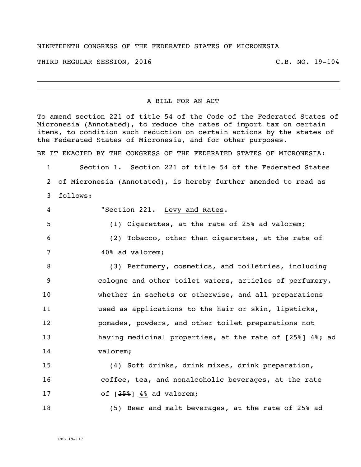## NINETEENTH CONGRESS OF THE FEDERATED STATES OF MICRONESIA

THIRD REGULAR SESSION, 2016 C.B. NO. 19-104

## A BILL FOR AN ACT

To amend section 221 of title 54 of the Code of the Federated States of Micronesia (Annotated), to reduce the rates of import tax on certain items, to condition such reduction on certain actions by the states of the Federated States of Micronesia, and for other purposes.

BE IT ENACTED BY THE CONGRESS OF THE FEDERATED STATES OF MICRONESIA:

1 Section 1. Section 221 of title 54 of the Federated States 2 of Micronesia (Annotated), is hereby further amended to read as 3 follows:

 "Section 221. Levy and Rates. (1) Cigarettes, at the rate of 25% ad valorem; (2) Tobacco, other than cigarettes, at the rate of 40% ad valorem;

8 (3) Perfumery, cosmetics, and toiletries, including 9 cologne and other toilet waters, articles of perfumery, 10 whether in sachets or otherwise, and all preparations 11 used as applications to the hair or skin, lipsticks, 12 pomades, powders, and other toilet preparations not 13 having medicinal properties, at the rate of  $[25\frac{2}{3}\,]$  4%; ad 14 valorem;

15 (4) Soft drinks, drink mixes, drink preparation, 16 coffee, tea, and nonalcoholic beverages, at the rate 17 of  $[25\frac{2}{9}]$  4% ad valorem;

18 (5) Beer and malt beverages, at the rate of 25% ad